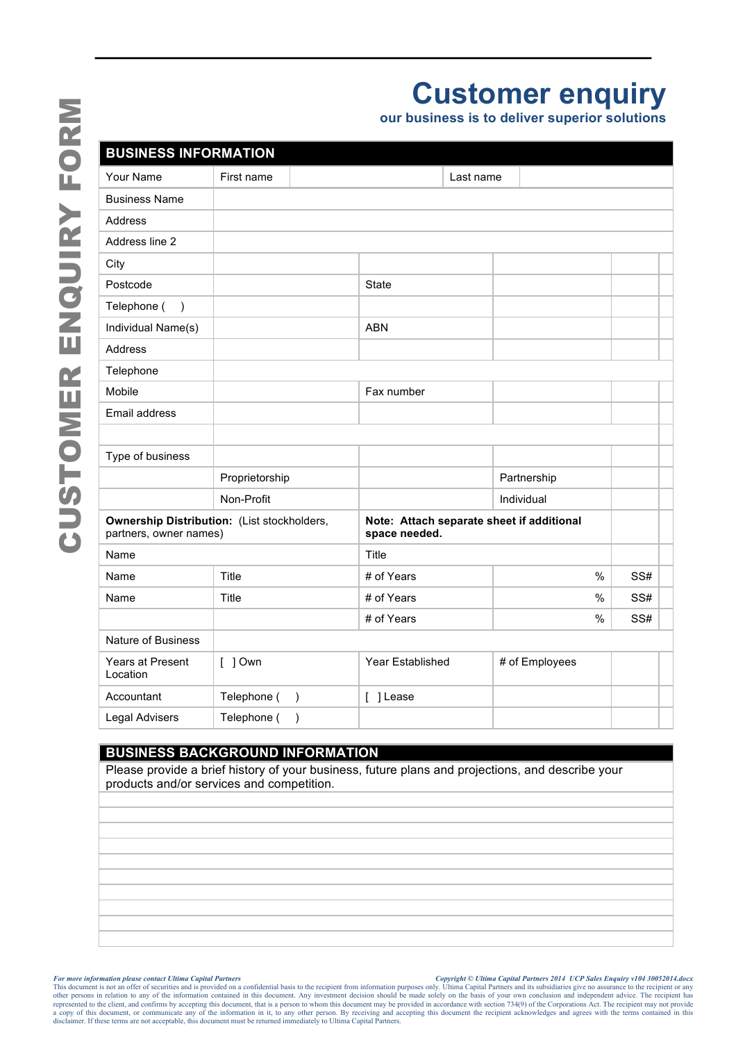| <b>BUSINESS IN</b>                          |
|---------------------------------------------|
| Your Name                                   |
| <b>Business Name</b>                        |
| Address                                     |
| Address line 2                              |
| City                                        |
| Postcode                                    |
| Telephone (<br>)                            |
| Individual Name(                            |
| Address                                     |
| Telephone                                   |
| Mobile                                      |
| <b>Email address</b>                        |
|                                             |
| Type of business                            |
|                                             |
|                                             |
| <b>Ownership Disti</b><br>partners, owner r |
| Name                                        |
|                                             |

| <b>Business Name</b><br>Address<br>Address line 2<br>City<br>Postcode<br>State<br>Telephone (<br>$\lambda$<br>Individual Name(s)<br><b>ABN</b><br>Address<br>Telephone<br>Mobile<br>Fax number<br>Email address<br>Type of business<br>Proprietorship<br>Partnership<br>Non-Profit<br>Individual<br>Ownership Distribution: (List stockholders,<br>Note: Attach separate sheet if additional<br>partners, owner names)<br>space needed.<br>Title<br>Name<br>Title<br>Name<br># of Years<br>%<br>Title<br># of Years<br>$\%$<br>Name<br># of Years<br>$\%$<br><b>Nature of Business</b><br># of Employees<br>Years at Present<br>Year Established<br>$[$ ] Own<br>Location<br>Telephone (<br>Accountant<br>[ ] Lease<br>$\lambda$<br>Telephone (<br>Legal Advisers<br>$\lambda$<br><b>BUSINESS BACKGROUND INFORMATION</b><br>Please provide a brief history of your business, future plans and projections, and describe your<br>products and/or services and competition. | Your Name | First name | Last name |  |
|---------------------------------------------------------------------------------------------------------------------------------------------------------------------------------------------------------------------------------------------------------------------------------------------------------------------------------------------------------------------------------------------------------------------------------------------------------------------------------------------------------------------------------------------------------------------------------------------------------------------------------------------------------------------------------------------------------------------------------------------------------------------------------------------------------------------------------------------------------------------------------------------------------------------------------------------------------------------------|-----------|------------|-----------|--|
|                                                                                                                                                                                                                                                                                                                                                                                                                                                                                                                                                                                                                                                                                                                                                                                                                                                                                                                                                                           |           |            |           |  |
|                                                                                                                                                                                                                                                                                                                                                                                                                                                                                                                                                                                                                                                                                                                                                                                                                                                                                                                                                                           |           |            |           |  |
|                                                                                                                                                                                                                                                                                                                                                                                                                                                                                                                                                                                                                                                                                                                                                                                                                                                                                                                                                                           |           |            |           |  |
|                                                                                                                                                                                                                                                                                                                                                                                                                                                                                                                                                                                                                                                                                                                                                                                                                                                                                                                                                                           |           |            |           |  |
|                                                                                                                                                                                                                                                                                                                                                                                                                                                                                                                                                                                                                                                                                                                                                                                                                                                                                                                                                                           |           |            |           |  |
|                                                                                                                                                                                                                                                                                                                                                                                                                                                                                                                                                                                                                                                                                                                                                                                                                                                                                                                                                                           |           |            |           |  |
|                                                                                                                                                                                                                                                                                                                                                                                                                                                                                                                                                                                                                                                                                                                                                                                                                                                                                                                                                                           |           |            |           |  |
|                                                                                                                                                                                                                                                                                                                                                                                                                                                                                                                                                                                                                                                                                                                                                                                                                                                                                                                                                                           |           |            |           |  |
|                                                                                                                                                                                                                                                                                                                                                                                                                                                                                                                                                                                                                                                                                                                                                                                                                                                                                                                                                                           |           |            |           |  |
|                                                                                                                                                                                                                                                                                                                                                                                                                                                                                                                                                                                                                                                                                                                                                                                                                                                                                                                                                                           |           |            |           |  |
|                                                                                                                                                                                                                                                                                                                                                                                                                                                                                                                                                                                                                                                                                                                                                                                                                                                                                                                                                                           |           |            |           |  |
|                                                                                                                                                                                                                                                                                                                                                                                                                                                                                                                                                                                                                                                                                                                                                                                                                                                                                                                                                                           |           |            |           |  |
|                                                                                                                                                                                                                                                                                                                                                                                                                                                                                                                                                                                                                                                                                                                                                                                                                                                                                                                                                                           |           |            |           |  |
|                                                                                                                                                                                                                                                                                                                                                                                                                                                                                                                                                                                                                                                                                                                                                                                                                                                                                                                                                                           |           |            |           |  |
|                                                                                                                                                                                                                                                                                                                                                                                                                                                                                                                                                                                                                                                                                                                                                                                                                                                                                                                                                                           |           |            |           |  |
|                                                                                                                                                                                                                                                                                                                                                                                                                                                                                                                                                                                                                                                                                                                                                                                                                                                                                                                                                                           |           |            |           |  |
|                                                                                                                                                                                                                                                                                                                                                                                                                                                                                                                                                                                                                                                                                                                                                                                                                                                                                                                                                                           |           |            |           |  |
|                                                                                                                                                                                                                                                                                                                                                                                                                                                                                                                                                                                                                                                                                                                                                                                                                                                                                                                                                                           |           |            |           |  |
|                                                                                                                                                                                                                                                                                                                                                                                                                                                                                                                                                                                                                                                                                                                                                                                                                                                                                                                                                                           |           |            |           |  |
|                                                                                                                                                                                                                                                                                                                                                                                                                                                                                                                                                                                                                                                                                                                                                                                                                                                                                                                                                                           |           |            |           |  |
|                                                                                                                                                                                                                                                                                                                                                                                                                                                                                                                                                                                                                                                                                                                                                                                                                                                                                                                                                                           |           |            |           |  |
|                                                                                                                                                                                                                                                                                                                                                                                                                                                                                                                                                                                                                                                                                                                                                                                                                                                                                                                                                                           |           |            |           |  |
|                                                                                                                                                                                                                                                                                                                                                                                                                                                                                                                                                                                                                                                                                                                                                                                                                                                                                                                                                                           |           |            |           |  |
|                                                                                                                                                                                                                                                                                                                                                                                                                                                                                                                                                                                                                                                                                                                                                                                                                                                                                                                                                                           |           |            |           |  |
|                                                                                                                                                                                                                                                                                                                                                                                                                                                                                                                                                                                                                                                                                                                                                                                                                                                                                                                                                                           |           |            |           |  |
|                                                                                                                                                                                                                                                                                                                                                                                                                                                                                                                                                                                                                                                                                                                                                                                                                                                                                                                                                                           |           |            |           |  |
|                                                                                                                                                                                                                                                                                                                                                                                                                                                                                                                                                                                                                                                                                                                                                                                                                                                                                                                                                                           |           |            |           |  |
|                                                                                                                                                                                                                                                                                                                                                                                                                                                                                                                                                                                                                                                                                                                                                                                                                                                                                                                                                                           |           |            |           |  |
|                                                                                                                                                                                                                                                                                                                                                                                                                                                                                                                                                                                                                                                                                                                                                                                                                                                                                                                                                                           |           |            |           |  |
|                                                                                                                                                                                                                                                                                                                                                                                                                                                                                                                                                                                                                                                                                                                                                                                                                                                                                                                                                                           |           |            |           |  |
|                                                                                                                                                                                                                                                                                                                                                                                                                                                                                                                                                                                                                                                                                                                                                                                                                                                                                                                                                                           |           |            |           |  |
|                                                                                                                                                                                                                                                                                                                                                                                                                                                                                                                                                                                                                                                                                                                                                                                                                                                                                                                                                                           |           |            |           |  |

# **BUSINESS BACKGROUND INFORMATION**

For more information please contact Ultima Capital Partners<br>This document is not an offer of securities and is provided on a confidential basis to the recipient from information purposes only. Ultima Capital Partners 2014